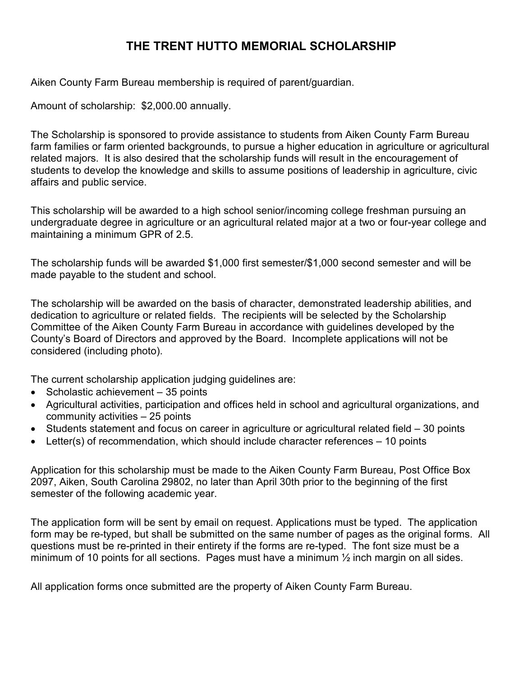# **THE TRENT HUTTO MEMORIAL SCHOLARSHIP**

Aiken County Farm Bureau membership is required of parent/guardian.

Amount of scholarship: \$2,000.00 annually.

The Scholarship is sponsored to provide assistance to students from Aiken County Farm Bureau farm families or farm oriented backgrounds, to pursue a higher education in agriculture or agricultural related majors. It is also desired that the scholarship funds will result in the encouragement of students to develop the knowledge and skills to assume positions of leadership in agriculture, civic affairs and public service.

This scholarship will be awarded to a high school senior/incoming college freshman pursuing an undergraduate degree in agriculture or an agricultural related major at a two or four-year college and maintaining a minimum GPR of 2.5.

The scholarship funds will be awarded \$1,000 first semester/\$1,000 second semester and will be made payable to the student and school.

The scholarship will be awarded on the basis of character, demonstrated leadership abilities, and dedication to agriculture or related fields. The recipients will be selected by the Scholarship Committee of the Aiken County Farm Bureau in accordance with guidelines developed by the County's Board of Directors and approved by the Board. Incomplete applications will not be considered (including photo).

The current scholarship application judging guidelines are:

- Scholastic achievement 35 points
- Agricultural activities, participation and offices held in school and agricultural organizations, and community activities – 25 points
- Students statement and focus on career in agriculture or agricultural related field 30 points
- Letter(s) of recommendation, which should include character references  $-10$  points

Application for this scholarship must be made to the Aiken County Farm Bureau, Post Office Box 2097, Aiken, South Carolina 29802, no later than April 30th prior to the beginning of the first semester of the following academic year.

The application form will be sent by email on request. Applications must be typed. The application form may be re-typed, but shall be submitted on the same number of pages as the original forms. All questions must be re-printed in their entirety if the forms are re-typed. The font size must be a minimum of 10 points for all sections. Pages must have a minimum ½ inch margin on all sides.

All application forms once submitted are the property of Aiken County Farm Bureau.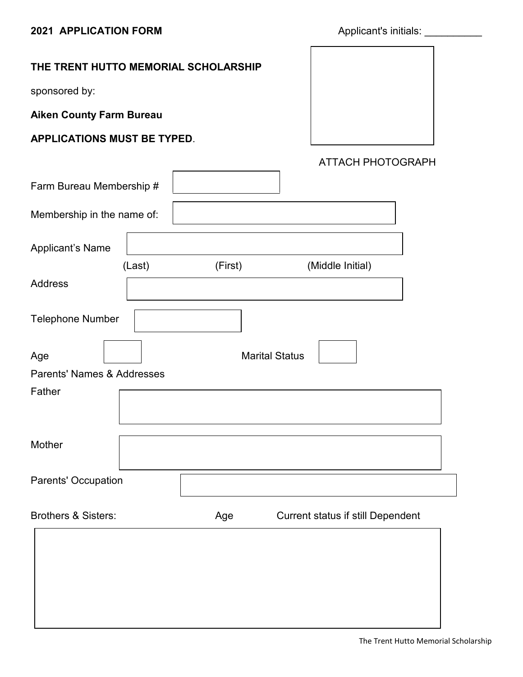# **THE TRENT HUTTO MEMORIAL SCHOLARSHIP**

sponsored by:

**Aiken County Farm Bureau**

### **APPLICATIONS MUST BE TYPED**.

ATTACH PHOTOGRAPH

|                                       |        |         | . <i>.</i>                        |  |
|---------------------------------------|--------|---------|-----------------------------------|--|
| Farm Bureau Membership #              |        |         |                                   |  |
| Membership in the name of:            |        |         |                                   |  |
| <b>Applicant's Name</b>               |        |         |                                   |  |
|                                       | (Last) | (First) | (Middle Initial)                  |  |
| <b>Address</b>                        |        |         |                                   |  |
| <b>Telephone Number</b>               |        |         |                                   |  |
| Age                                   |        |         | <b>Marital Status</b>             |  |
| <b>Parents' Names &amp; Addresses</b> |        |         |                                   |  |
| Father                                |        |         |                                   |  |
| Mother                                |        |         |                                   |  |
| Parents' Occupation                   |        |         |                                   |  |
| <b>Brothers &amp; Sisters:</b>        |        | Age     | Current status if still Dependent |  |
|                                       |        |         |                                   |  |
|                                       |        |         |                                   |  |
|                                       |        |         |                                   |  |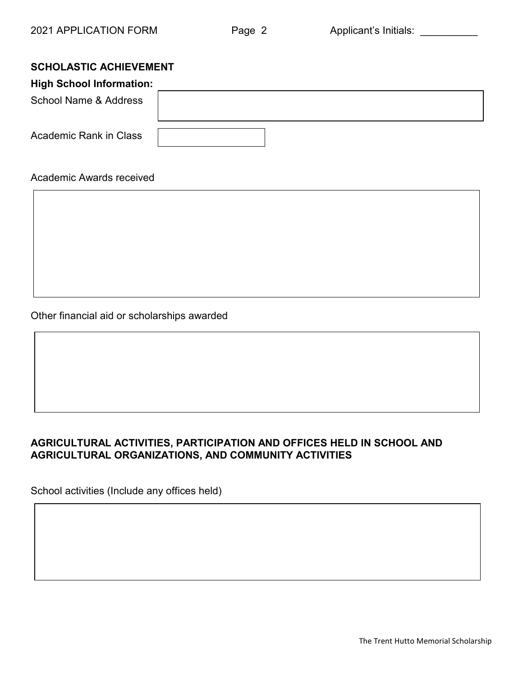# **SCHOLASTIC ACHIEVEMENT**

| <b>High School Information:</b> |  |  |
|---------------------------------|--|--|
| School Name & Address           |  |  |
| <b>Academic Rank in Class</b>   |  |  |

### Academic Awards received

Other financial aid or scholarships awarded

# **AGRICULTURAL ACTIVITIES, PARTICIPATION AND OFFICES HELD IN SCHOOL AND AGRICULTURAL ORGANIZATIONS, AND COMMUNITY ACTIVITIES**

School activities (Include any offices held)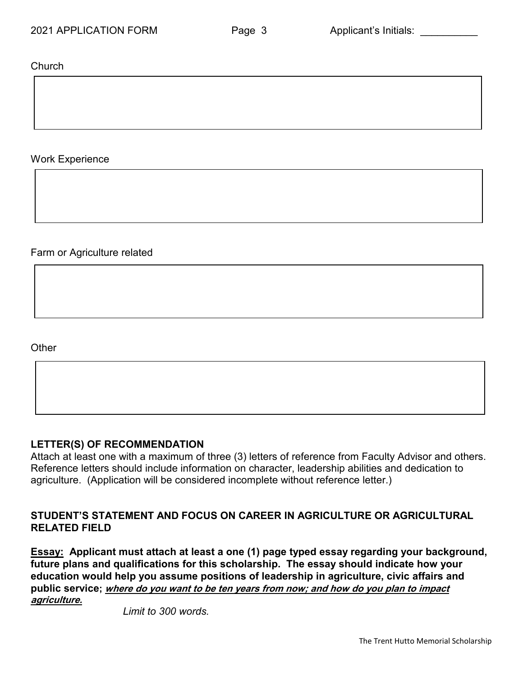Church

### Work Experience

Farm or Agriculture related

**Other** 

#### **LETTER(S) OF RECOMMENDATION**

Attach at least one with a maximum of three (3) letters of reference from Faculty Advisor and others. Reference letters should include information on character, leadership abilities and dedication to agriculture. (Application will be considered incomplete without reference letter.)

### **STUDENT'S STATEMENT AND FOCUS ON CAREER IN AGRICULTURE OR AGRICULTURAL RELATED FIELD**

**Essay: Applicant must attach at least a one (1) page typed essay regarding your background, future plans and qualifications for this scholarship. The essay should indicate how your education would help you assume positions of leadership in agriculture, civic affairs and public service; where do you want to be ten years from now; and how do you plan to impact agriculture.**

*Limit to 300 words.*